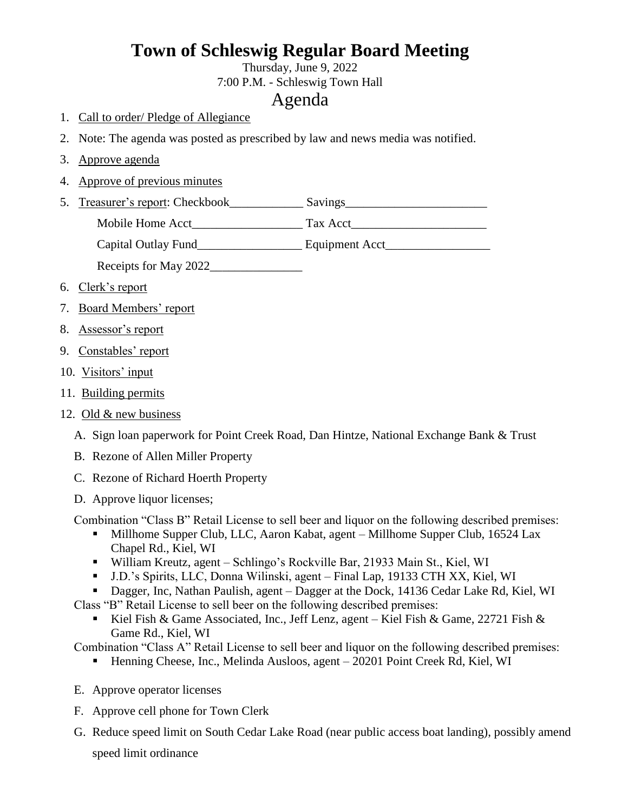## **Town of Schleswig Regular Board Meeting**

Thursday, June 9, 2022 7:00 P.M. - Schleswig Town Hall

## Agenda

- 1. Call to order/ Pledge of Allegiance
- 2. Note: The agenda was posted as prescribed by law and news media was notified.
- 3. Approve agenda
- 4. Approve of previous minutes
- 5. Treasurer's report: Checkbook\_\_\_\_\_\_\_\_\_\_\_\_\_ Savings\_\_\_\_\_\_\_\_\_\_\_\_\_\_\_\_\_\_\_\_\_\_\_\_\_\_\_

Mobile Home Acct Tax Acct

Capital Outlay Fund<br>
Equipment Acct

Receipts for May 2022

- 6. Clerk's report
- 7. Board Members' report
- 8. Assessor's report
- 9. Constables' report
- 10. Visitors' input
- 11. Building permits
- 12. Old & new business
	- A. Sign loan paperwork for Point Creek Road, Dan Hintze, National Exchange Bank & Trust
	- B. Rezone of Allen Miller Property
	- C. Rezone of Richard Hoerth Property
	- D. Approve liquor licenses;

Combination "Class B" Retail License to sell beer and liquor on the following described premises:

- Millhome Supper Club, LLC, Aaron Kabat, agent Millhome Supper Club, 16524 Lax Chapel Rd., Kiel, WI
- William Kreutz, agent Schlingo's Rockville Bar, 21933 Main St., Kiel, WI
- J.D.'s Spirits, LLC, Donna Wilinski, agent Final Lap, 19133 CTH XX, Kiel, WI

Dagger, Inc, Nathan Paulish, agent – Dagger at the Dock, 14136 Cedar Lake Rd, Kiel, WI

- Class "B" Retail License to sell beer on the following described premises:
	- Kiel Fish & Game Associated, Inc., Jeff Lenz, agent Kiel Fish & Game, 22721 Fish & Game Rd., Kiel, WI

Combination "Class A" Retail License to sell beer and liquor on the following described premises:

- Henning Cheese, Inc., Melinda Ausloos, agent 20201 Point Creek Rd, Kiel, WI
- E. Approve operator licenses
- F. Approve cell phone for Town Clerk
- G. Reduce speed limit on South Cedar Lake Road (near public access boat landing), possibly amend speed limit ordinance